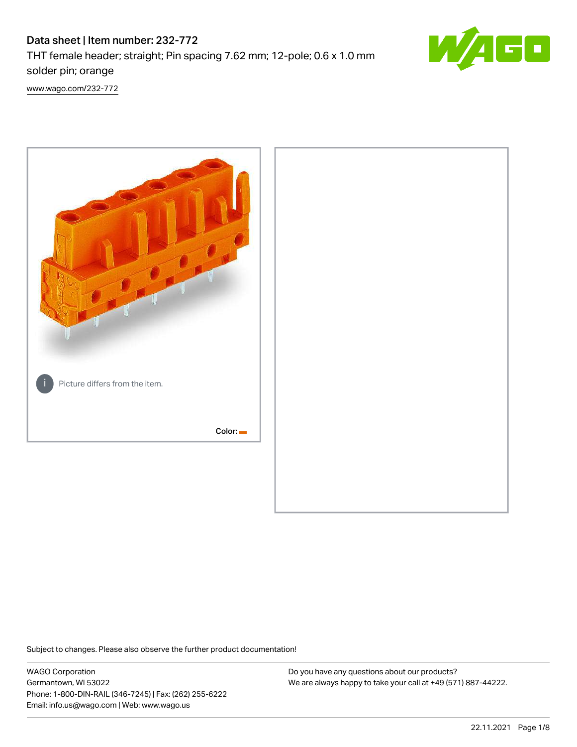# Data sheet | Item number: 232-772 THT female header; straight; Pin spacing 7.62 mm; 12-pole; 0.6 x 1.0 mm solder pin; orange



[www.wago.com/232-772](http://www.wago.com/232-772)



Subject to changes. Please also observe the further product documentation!

WAGO Corporation Germantown, WI 53022 Phone: 1-800-DIN-RAIL (346-7245) | Fax: (262) 255-6222 Email: info.us@wago.com | Web: www.wago.us

Do you have any questions about our products? We are always happy to take your call at +49 (571) 887-44222.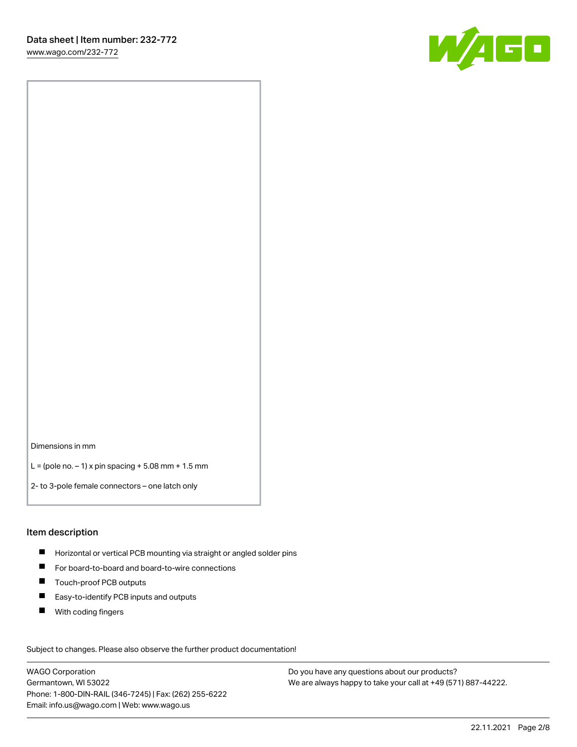

Dimensions in mm

L = (pole no.  $-1$ ) x pin spacing + 5.08 mm + 1.5 mm

2- to 3-pole female connectors – one latch only

#### Item description

- **H** Horizontal or vertical PCB mounting via straight or angled solder pins
- For board-to-board and board-to-wire connections
- Touch-proof PCB outputs  $\blacksquare$
- $\blacksquare$ Easy-to-identify PCB inputs and outputs
- $\blacksquare$ With coding fingers

Subject to changes. Please also observe the further product documentation! Data

WAGO Corporation Germantown, WI 53022 Phone: 1-800-DIN-RAIL (346-7245) | Fax: (262) 255-6222 Email: info.us@wago.com | Web: www.wago.us

Do you have any questions about our products? We are always happy to take your call at +49 (571) 887-44222.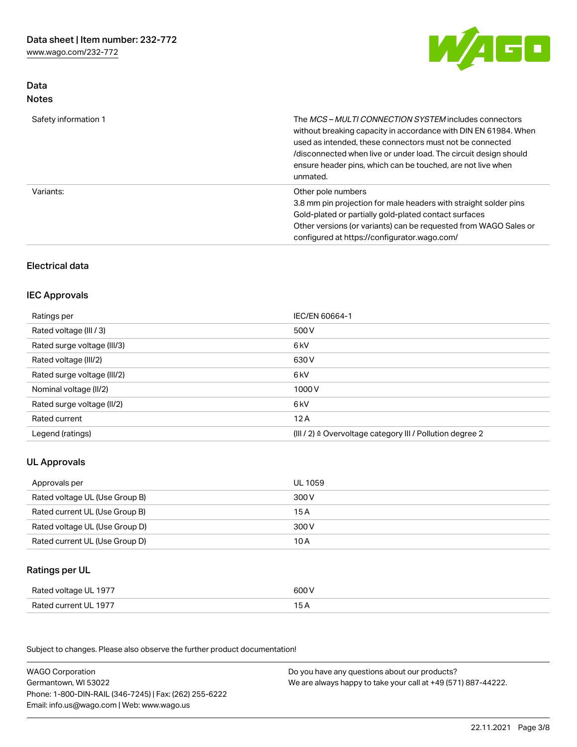Data Notes



| Safety information 1 | The <i>MCS - MULTI CONNECTION SYSTEM</i> includes connectors<br>without breaking capacity in accordance with DIN EN 61984. When<br>used as intended, these connectors must not be connected<br>/disconnected when live or under load. The circuit design should<br>ensure header pins, which can be touched, are not live when<br>unmated. |
|----------------------|--------------------------------------------------------------------------------------------------------------------------------------------------------------------------------------------------------------------------------------------------------------------------------------------------------------------------------------------|
| Variants:            | Other pole numbers<br>3.8 mm pin projection for male headers with straight solder pins<br>Gold-plated or partially gold-plated contact surfaces<br>Other versions (or variants) can be requested from WAGO Sales or<br>configured at https://configurator.wago.com/                                                                        |

# Electrical data

#### IEC Approvals

| Ratings per                 | IEC/EN 60664-1                                                        |
|-----------------------------|-----------------------------------------------------------------------|
| Rated voltage (III / 3)     | 500 V                                                                 |
| Rated surge voltage (III/3) | 6 kV                                                                  |
| Rated voltage (III/2)       | 630 V                                                                 |
| Rated surge voltage (III/2) | 6 kV                                                                  |
| Nominal voltage (II/2)      | 1000 V                                                                |
| Rated surge voltage (II/2)  | 6 kV                                                                  |
| Rated current               | 12A                                                                   |
| Legend (ratings)            | $(III / 2)$ $\triangle$ Overvoltage category III / Pollution degree 2 |

# UL Approvals

| Approvals per                  | UL 1059 |
|--------------------------------|---------|
| Rated voltage UL (Use Group B) | 300 V   |
| Rated current UL (Use Group B) | 15 A    |
| Rated voltage UL (Use Group D) | 300 V   |
| Rated current UL (Use Group D) | 10 A    |

# Ratings per UL

| Rated voltage UL 1977 | 600 V |
|-----------------------|-------|
| Rated current UL 1977 |       |

Subject to changes. Please also observe the further product documentation!

| <b>WAGO Corporation</b>                                | Do you have any questions about our products?                 |
|--------------------------------------------------------|---------------------------------------------------------------|
| Germantown, WI 53022                                   | We are always happy to take your call at +49 (571) 887-44222. |
| Phone: 1-800-DIN-RAIL (346-7245)   Fax: (262) 255-6222 |                                                               |
| Email: info.us@wago.com   Web: www.wago.us             |                                                               |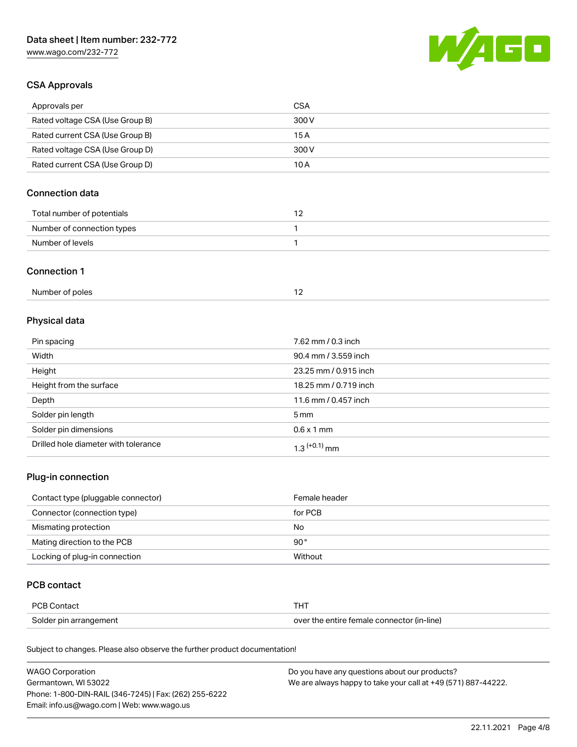

## CSA Approvals

| Approvals per                   | CSA   |
|---------------------------------|-------|
| Rated voltage CSA (Use Group B) | 300 V |
| Rated current CSA (Use Group B) | 15 A  |
| Rated voltage CSA (Use Group D) | 300 V |
| Rated current CSA (Use Group D) | 10 A  |

# Connection data

| Total number of potentials |  |
|----------------------------|--|
| Number of connection types |  |
| Number of levels           |  |

#### Connection 1

| Number of poles |  |
|-----------------|--|
|                 |  |

# Physical data

| Pin spacing                          | 7.62 mm / 0.3 inch    |
|--------------------------------------|-----------------------|
| Width                                | 90.4 mm / 3.559 inch  |
| Height                               | 23.25 mm / 0.915 inch |
| Height from the surface              | 18.25 mm / 0.719 inch |
| Depth                                | 11.6 mm / 0.457 inch  |
| Solder pin length                    | 5 mm                  |
| Solder pin dimensions                | $0.6 \times 1$ mm     |
| Drilled hole diameter with tolerance | $1.3$ $(+0.1)$ mm     |

# Plug-in connection

| Contact type (pluggable connector) | Female header |
|------------------------------------|---------------|
| Connector (connection type)        | for PCB       |
| Mismating protection               | No            |
| Mating direction to the PCB        | $90^{\circ}$  |
| Locking of plug-in connection      | Without       |

### PCB contact

| PCB Contact            | THT                                        |
|------------------------|--------------------------------------------|
| Solder pin arrangement | over the entire female connector (in-line) |

Subject to changes. Please also observe the further product documentation!

| <b>WAGO Corporation</b>                                | Do you have any questions about our products?                 |
|--------------------------------------------------------|---------------------------------------------------------------|
| Germantown, WI 53022                                   | We are always happy to take your call at +49 (571) 887-44222. |
| Phone: 1-800-DIN-RAIL (346-7245)   Fax: (262) 255-6222 |                                                               |
| Email: info.us@wago.com   Web: www.wago.us             |                                                               |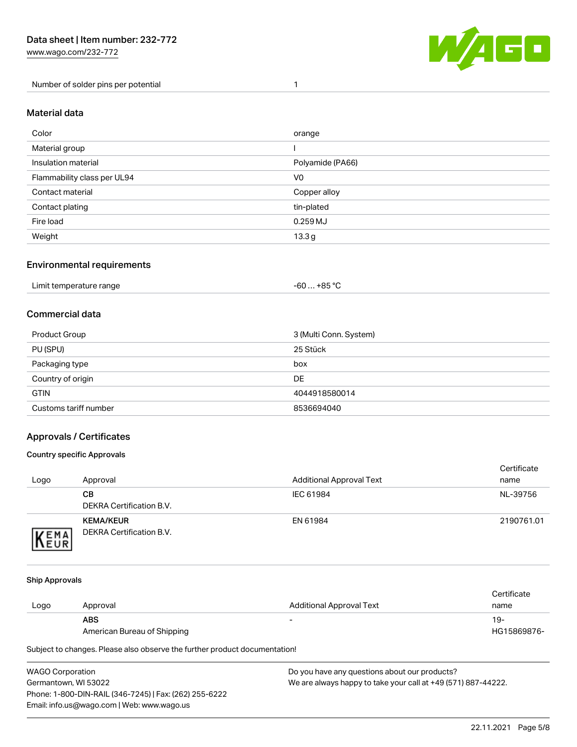Number of solder pins per potential 1



#### Material data

| Color                       | orange           |
|-----------------------------|------------------|
| Material group              |                  |
| Insulation material         | Polyamide (PA66) |
| Flammability class per UL94 | V <sub>0</sub>   |
| Contact material            | Copper alloy     |
| Contact plating             | tin-plated       |
| Fire load                   | $0.259$ MJ       |
| Weight                      | 13.3g            |

#### Environmental requirements

| Limit temperature range<br>. | +85 °C<br>-60 |  |
|------------------------------|---------------|--|
|------------------------------|---------------|--|

## Commercial data

| Product Group         | 3 (Multi Conn. System) |
|-----------------------|------------------------|
| PU (SPU)              | 25 Stück               |
| Packaging type        | box                    |
| Country of origin     | <b>DE</b>              |
| <b>GTIN</b>           | 4044918580014          |
| Customs tariff number | 8536694040             |

#### Approvals / Certificates

#### Country specific Approvals

| Logo                | Approval                                            | <b>Additional Approval Text</b> | Certificate<br>name |
|---------------------|-----------------------------------------------------|---------------------------------|---------------------|
|                     | CВ<br>DEKRA Certification B.V.                      | IEC 61984                       | NL-39756            |
| EMA<br><b>INEUR</b> | <b>KEMA/KEUR</b><br><b>DEKRA Certification B.V.</b> | EN 61984                        | 2190761.01          |

#### Ship Approvals

| Logo | Approval                    | Additional Approval Text | Certificate<br>name |
|------|-----------------------------|--------------------------|---------------------|
|      | <b>ABS</b>                  | -                        | 19-                 |
|      | American Bureau of Shipping |                          | HG15869876-         |

Subject to changes. Please also observe the further product documentation!

WAGO Corporation Germantown, WI 53022 Phone: 1-800-DIN-RAIL (346-7245) | Fax: (262) 255-6222 Email: info.us@wago.com | Web: www.wago.us Do you have any questions about our products? We are always happy to take your call at +49 (571) 887-44222.

22.11.2021 Page 5/8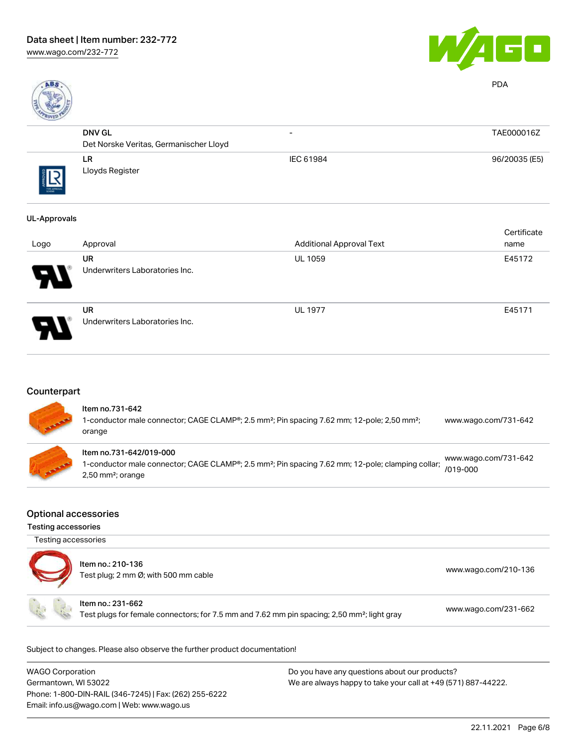

PDA

| ROAKD      |                                        |                          |               |
|------------|----------------------------------------|--------------------------|---------------|
|            | <b>DNV GL</b>                          | $\overline{\phantom{0}}$ | TAE000016Z    |
|            | Det Norske Veritas, Germanischer Lloyd |                          |               |
| THE APPOIA | LR.<br>Lloyds Register                 | IEC 61984                | 96/20035 (E5) |
|            |                                        |                          |               |

#### UL-Approvals

|      |                                             |                                 | Certificate |
|------|---------------------------------------------|---------------------------------|-------------|
| Logo | Approval                                    | <b>Additional Approval Text</b> | name        |
| 8    | <b>UR</b><br>Underwriters Laboratories Inc. | <b>UL 1059</b>                  | E45172      |
| ρ    | <b>UR</b><br>Underwriters Laboratories Inc. | <b>UL 1977</b>                  | E45171      |

# **Counterpart**

| <b>All Property</b> | Item no.731-642<br>1-conductor male connector; CAGE CLAMP®; 2.5 mm <sup>2</sup> ; Pin spacing 7.62 mm; 12-pole; 2,50 mm <sup>2</sup> ;<br>orange                            | www.wago.com/731-642                 |
|---------------------|-----------------------------------------------------------------------------------------------------------------------------------------------------------------------------|--------------------------------------|
| <b>CONSTRUCTION</b> | Item no.731-642/019-000<br>1-conductor male connector; CAGE CLAMP®; 2.5 mm <sup>2</sup> ; Pin spacing 7.62 mm; 12-pole; clamping collar;<br>$2,50$ mm <sup>2</sup> ; orange | www.wago.com/731-642<br>$/019 - 000$ |

#### Optional accessories

Testing accessories

Testing accessories

| Item no.: 210-136<br>Test plug; 2 mm Ø; with 500 mm cable                                                                    | www.wago.com/210-136 |
|------------------------------------------------------------------------------------------------------------------------------|----------------------|
| Item no.: 231-662<br>Test plugs for female connectors; for 7.5 mm and 7.62 mm pin spacing; 2,50 mm <sup>2</sup> ; light gray | www.wago.com/231-662 |

Subject to changes. Please also observe the further product documentation!

| <b>WAGO Corporation</b>                                | Do you have any questions about our products?                 |
|--------------------------------------------------------|---------------------------------------------------------------|
| Germantown, WI 53022                                   | We are always happy to take your call at +49 (571) 887-44222. |
| Phone: 1-800-DIN-RAIL (346-7245)   Fax: (262) 255-6222 |                                                               |
| Email: info.us@wago.com   Web: www.wago.us             |                                                               |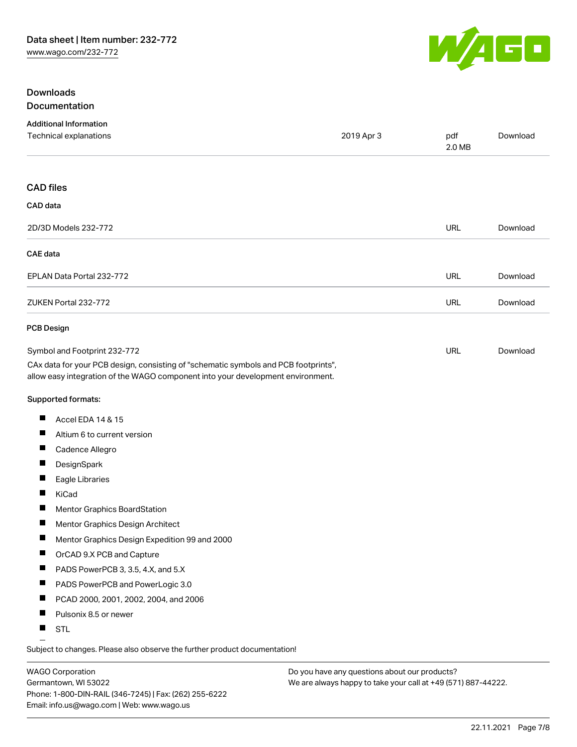

#### **Downloads Documentation**

| 2019 Apr 3<br>pdf<br>Download<br>2.0 MB<br><b>CAD files</b><br>CAD data<br>2D/3D Models 232-772<br><b>URL</b><br>Download<br><b>CAE</b> data<br><b>URL</b><br>EPLAN Data Portal 232-772<br>Download<br><b>URL</b><br>ZUKEN Portal 232-772<br>Download<br><b>PCB Design</b><br><b>URL</b><br>Symbol and Footprint 232-772<br>Download<br>CAx data for your PCB design, consisting of "schematic symbols and PCB footprints",<br>allow easy integration of the WAGO component into your development environment.<br>Supported formats:<br>Ш<br>Accel EDA 14 & 15<br>ш<br>Altium 6 to current version<br>ш<br>Cadence Allegro<br>ш<br>DesignSpark<br>ш<br>Eagle Libraries<br>Ш<br>KiCad<br>ш<br>Mentor Graphics BoardStation<br>ш<br>Mentor Graphics Design Architect<br>ш<br>Mentor Graphics Design Expedition 99 and 2000<br>ш<br>OrCAD 9.X PCB and Capture<br>Ш<br>PADS PowerPCB 3, 3.5, 4.X, and 5.X<br>ш<br>PADS PowerPCB and PowerLogic 3.0<br>ш<br>PCAD 2000, 2001, 2002, 2004, and 2006<br>Pulsonix 8.5 or newer<br>ш<br>ш | <b>Additional Information</b> |  |  |
|---------------------------------------------------------------------------------------------------------------------------------------------------------------------------------------------------------------------------------------------------------------------------------------------------------------------------------------------------------------------------------------------------------------------------------------------------------------------------------------------------------------------------------------------------------------------------------------------------------------------------------------------------------------------------------------------------------------------------------------------------------------------------------------------------------------------------------------------------------------------------------------------------------------------------------------------------------------------------------------------------------------------------------|-------------------------------|--|--|
|                                                                                                                                                                                                                                                                                                                                                                                                                                                                                                                                                                                                                                                                                                                                                                                                                                                                                                                                                                                                                                 | Technical explanations        |  |  |
|                                                                                                                                                                                                                                                                                                                                                                                                                                                                                                                                                                                                                                                                                                                                                                                                                                                                                                                                                                                                                                 |                               |  |  |
|                                                                                                                                                                                                                                                                                                                                                                                                                                                                                                                                                                                                                                                                                                                                                                                                                                                                                                                                                                                                                                 |                               |  |  |
|                                                                                                                                                                                                                                                                                                                                                                                                                                                                                                                                                                                                                                                                                                                                                                                                                                                                                                                                                                                                                                 |                               |  |  |
|                                                                                                                                                                                                                                                                                                                                                                                                                                                                                                                                                                                                                                                                                                                                                                                                                                                                                                                                                                                                                                 |                               |  |  |
|                                                                                                                                                                                                                                                                                                                                                                                                                                                                                                                                                                                                                                                                                                                                                                                                                                                                                                                                                                                                                                 |                               |  |  |
|                                                                                                                                                                                                                                                                                                                                                                                                                                                                                                                                                                                                                                                                                                                                                                                                                                                                                                                                                                                                                                 |                               |  |  |
|                                                                                                                                                                                                                                                                                                                                                                                                                                                                                                                                                                                                                                                                                                                                                                                                                                                                                                                                                                                                                                 |                               |  |  |
|                                                                                                                                                                                                                                                                                                                                                                                                                                                                                                                                                                                                                                                                                                                                                                                                                                                                                                                                                                                                                                 |                               |  |  |
|                                                                                                                                                                                                                                                                                                                                                                                                                                                                                                                                                                                                                                                                                                                                                                                                                                                                                                                                                                                                                                 |                               |  |  |
|                                                                                                                                                                                                                                                                                                                                                                                                                                                                                                                                                                                                                                                                                                                                                                                                                                                                                                                                                                                                                                 |                               |  |  |
|                                                                                                                                                                                                                                                                                                                                                                                                                                                                                                                                                                                                                                                                                                                                                                                                                                                                                                                                                                                                                                 |                               |  |  |
|                                                                                                                                                                                                                                                                                                                                                                                                                                                                                                                                                                                                                                                                                                                                                                                                                                                                                                                                                                                                                                 |                               |  |  |
|                                                                                                                                                                                                                                                                                                                                                                                                                                                                                                                                                                                                                                                                                                                                                                                                                                                                                                                                                                                                                                 |                               |  |  |
|                                                                                                                                                                                                                                                                                                                                                                                                                                                                                                                                                                                                                                                                                                                                                                                                                                                                                                                                                                                                                                 |                               |  |  |
|                                                                                                                                                                                                                                                                                                                                                                                                                                                                                                                                                                                                                                                                                                                                                                                                                                                                                                                                                                                                                                 |                               |  |  |
|                                                                                                                                                                                                                                                                                                                                                                                                                                                                                                                                                                                                                                                                                                                                                                                                                                                                                                                                                                                                                                 |                               |  |  |
|                                                                                                                                                                                                                                                                                                                                                                                                                                                                                                                                                                                                                                                                                                                                                                                                                                                                                                                                                                                                                                 |                               |  |  |
|                                                                                                                                                                                                                                                                                                                                                                                                                                                                                                                                                                                                                                                                                                                                                                                                                                                                                                                                                                                                                                 |                               |  |  |
|                                                                                                                                                                                                                                                                                                                                                                                                                                                                                                                                                                                                                                                                                                                                                                                                                                                                                                                                                                                                                                 |                               |  |  |
|                                                                                                                                                                                                                                                                                                                                                                                                                                                                                                                                                                                                                                                                                                                                                                                                                                                                                                                                                                                                                                 |                               |  |  |
|                                                                                                                                                                                                                                                                                                                                                                                                                                                                                                                                                                                                                                                                                                                                                                                                                                                                                                                                                                                                                                 |                               |  |  |
|                                                                                                                                                                                                                                                                                                                                                                                                                                                                                                                                                                                                                                                                                                                                                                                                                                                                                                                                                                                                                                 |                               |  |  |
|                                                                                                                                                                                                                                                                                                                                                                                                                                                                                                                                                                                                                                                                                                                                                                                                                                                                                                                                                                                                                                 |                               |  |  |
|                                                                                                                                                                                                                                                                                                                                                                                                                                                                                                                                                                                                                                                                                                                                                                                                                                                                                                                                                                                                                                 |                               |  |  |
|                                                                                                                                                                                                                                                                                                                                                                                                                                                                                                                                                                                                                                                                                                                                                                                                                                                                                                                                                                                                                                 | <b>STL</b>                    |  |  |

Subject to changes. Please also observe the further product documentation!

WAGO Corporation Germantown, WI 53022 Phone: 1-800-DIN-RAIL (346-7245) | Fax: (262) 255-6222 Email: info.us@wago.com | Web: www.wago.us

Do you have any questions about our products? We are always happy to take your call at +49 (571) 887-44222.